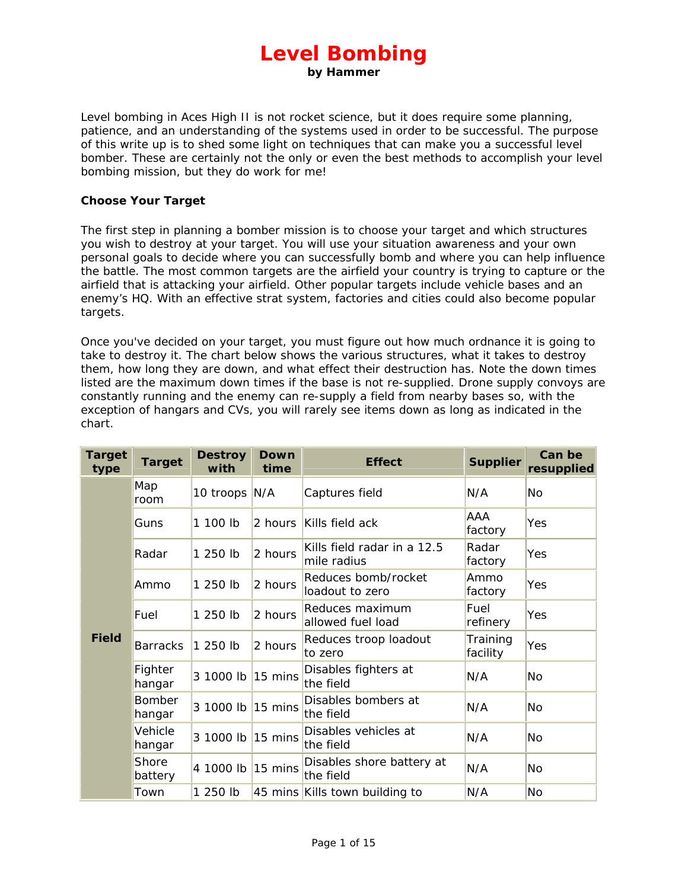# **Level Bombing**

**by Hammer**

Level bombing in Aces High II is not rocket science, but it does require some planning, patience, and an understanding of the systems used in order to be successful. The purpose of this write up is to shed some light on techniques that can make you a successful level bomber. These are certainly not the only or even the best methods to accomplish your level bombing mission, but they do work for me!

## **Choose Your Target**

The first step in planning a bomber mission is to choose your target and which structures you wish to destroy at your target. You will use your situation awareness and your own personal goals to decide where you can successfully bomb and where you can help influence the battle. The most common targets are the airfield your country is trying to capture or the airfield that is attacking your airfield. Other popular targets include vehicle bases and an enemy's HQ. With an effective strat system, factories and cities could also become popular targets.

Once you've decided on your target, you must figure out how much ordnance it is going to take to destroy it. The chart below shows the various structures, what it takes to destroy them, how long they are down, and what effect their destruction has. Note the down times listed are the maximum down times if the base is not re-supplied. Drone supply convoys are constantly running and the enemy can re-supply a field from nearby bases so, with the exception of hangars and CVs, you will rarely see items down as long as indicated in the chart.

| <b>Target</b><br>type | <b>Target</b>           | <b>Destroy</b><br>with | Down<br>time      | <b>Effect</b>                              | <b>Supplier</b>      | Can be<br>resupplied |
|-----------------------|-------------------------|------------------------|-------------------|--------------------------------------------|----------------------|----------------------|
| <b>Field</b>          | Map<br>room             | 10 troops N/A          |                   | Captures field                             | N/A                  | <b>No</b>            |
|                       | Guns                    | 1 100 lb               | 2 hours           | Kills field ack                            | AAA<br>factory       | Yes                  |
|                       | Radar                   | 1 250 lb               | 2 hours           | Kills field radar in a 12.5<br>mile radius | Radar<br>factory     | Yes                  |
|                       | Ammo                    | 1 250 lb               | 2 hours           | Reduces bomb/rocket<br>loadout to zero     | Ammo<br>factory      | Yes                  |
|                       | Fuel                    | 1 250 lb               | 2 hours           | Reduces maximum<br>allowed fuel load       | Fuel<br>refinery     | Yes                  |
|                       | <b>Barracks</b>         | 1 250 lb               | 2 hours           | Reduces troop loadout<br>to zero           | Training<br>facility | Yes                  |
|                       | Fighter<br>hangar       | 3 1000 lb              | 15 mins           | Disables fighters at<br>the field          | N/A                  | No                   |
|                       | <b>Bomber</b><br>hangar | 3 1000 lb              | $15 \text{ mins}$ | Disables bombers at<br>the field           | N/A                  | No                   |
|                       | Vehicle<br>hangar       | 3 1000 lb              | 15 mins           | Disables vehicles at<br>the field          | N/A                  | No                   |
|                       | Shore<br>battery        | 4 1000 lb              | 15 mins           | Disables shore battery at<br>the field     | N/A                  | No                   |
|                       | Town                    | 1 250 lb               |                   | 45 mins Kills town building to             | N/A                  | No                   |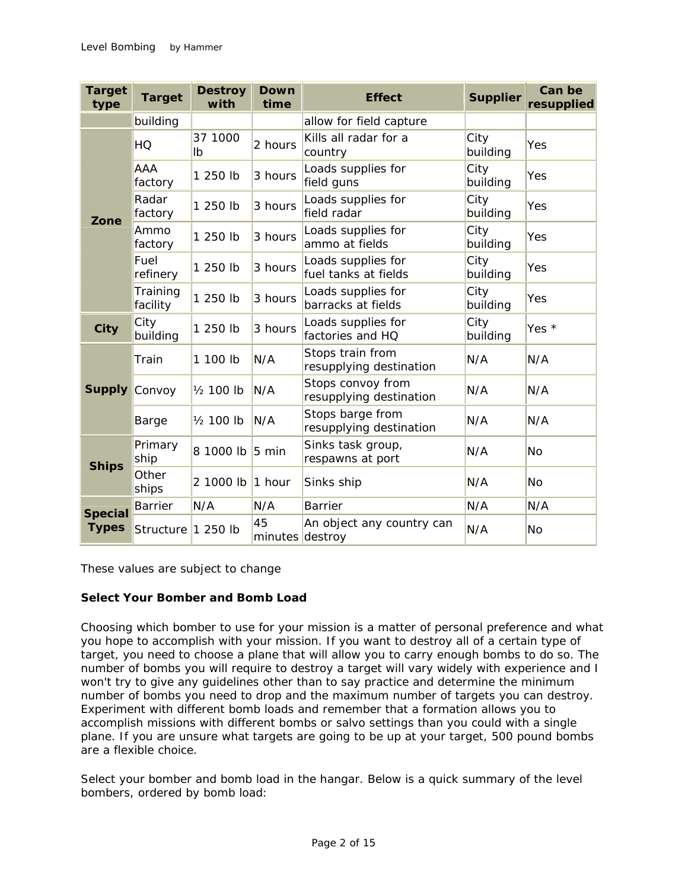| <b>Target</b><br>type          | <b>Target</b>         | <b>Destroy</b><br>with | Down<br>time          | <b>Effect</b>                                | <b>Supplier</b>  | Can be<br>resupplied |
|--------------------------------|-----------------------|------------------------|-----------------------|----------------------------------------------|------------------|----------------------|
|                                | building              |                        |                       | allow for field capture                      |                  |                      |
| Zone                           | HQ                    | 37 1000<br>Ib          | 2 hours               | Kills all radar for a<br>country             | City<br>building | Yes                  |
|                                | <b>AAA</b><br>factory | 1 250 lb               | 3 hours               | Loads supplies for<br>field guns             | City<br>building | Yes                  |
|                                | Radar<br>factory      | 1 250 lb               | 3 hours               | Loads supplies for<br>field radar            | City<br>building | Yes                  |
|                                | Ammo<br>factory       | 1 250 lb               | 3 hours               | Loads supplies for<br>ammo at fields         | City<br>building | Yes                  |
|                                | Fuel<br>refinery      | 1 250 lb               | 3 hours               | Loads supplies for<br>fuel tanks at fields   | City<br>building | Yes                  |
|                                | Training<br>facility  | 1 250 lb               | 3 hours               | Loads supplies for<br>barracks at fields     | City<br>building | Yes                  |
| City                           | City<br>building      | 1 250 lb               | 3 hours               | Loads supplies for<br>factories and HQ       | City<br>building | Yes *                |
| <b>Supply Convoy</b>           | Train                 | 1 100 lb               | N/A                   | Stops train from<br>resupplying destination  | N/A              | N/A                  |
|                                |                       | 1/ <sub>2</sub> 100 lb | N/A                   | Stops convoy from<br>resupplying destination | N/A              |                      |
|                                | Barge                 | 1/ <sub>2</sub> 100 lb | N/A                   | Stops barge from<br>resupplying destination  | N/A              | N/A                  |
| <b>Ships</b>                   | Primary<br>ship       | 8 1000 lb              | $5 \text{ min}$       | Sinks task group,<br>respawns at port        | N/A              | No                   |
|                                | Other<br>ships        | 2 1000 lb              | $1$ hour              | Sinks ship                                   | N/A              | No                   |
| <b>Special</b><br><b>Types</b> | <b>Barrier</b>        | N/A                    | N/A                   | <b>Barrier</b>                               | N/A              | N/A                  |
|                                | Structure 1 250 lb    |                        | 45<br>minutes destroy | An object any country can                    | N/A              | <b>No</b>            |

These values are subject to change

## **Select Your Bomber and Bomb Load**

Choosing which bomber to use for your mission is a matter of personal preference and what you hope to accomplish with your mission. If you want to destroy all of a certain type of target, you need to choose a plane that will allow you to carry enough bombs to do so. The number of bombs you will require to destroy a target will vary widely with experience and I won't try to give any guidelines other than to say practice and determine the minimum number of bombs you need to drop and the maximum number of targets you can destroy. Experiment with different bomb loads and remember that a formation allows you to accomplish missions with different bombs or salvo settings than you could with a single plane. If you are unsure what targets are going to be up at your target, 500 pound bombs are a flexible choice.

Select your bomber and bomb load in the hangar. Below is a quick summary of the level bombers, ordered by bomb load: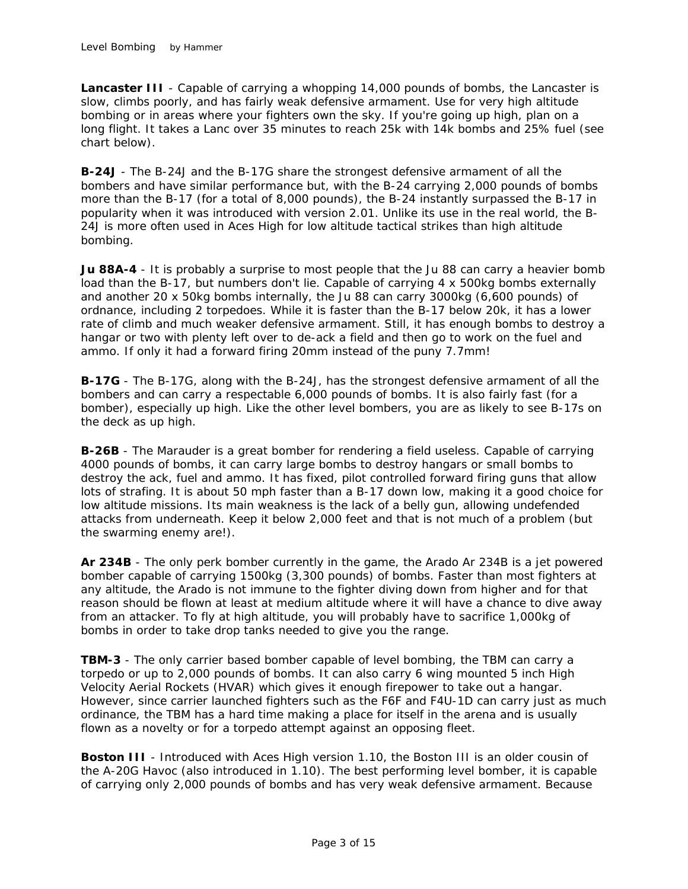**Lancaster III** - Capable of carrying a whopping 14,000 pounds of bombs, the Lancaster is slow, climbs poorly, and has fairly weak defensive armament. Use for very high altitude bombing or in areas where your fighters own the sky. If you're going up high, plan on a long flight. It takes a Lanc over 35 minutes to reach 25k with 14k bombs and 25% fuel (see chart below).

**B-24J** - The B-24J and the B-17G share the strongest defensive armament of all the bombers and have similar performance but, with the B-24 carrying 2,000 pounds of bombs more than the B-17 (for a total of 8,000 pounds), the B-24 instantly surpassed the B-17 in popularity when it was introduced with version 2.01. Unlike its use in the real world, the B-24J is more often used in Aces High for low altitude tactical strikes than high altitude bombing.

**Ju 88A-4** - It is probably a surprise to most people that the Ju 88 can carry a heavier bomb load than the B-17, but numbers don't lie. Capable of carrying 4 x 500kg bombs externally and another 20 x 50kg bombs internally, the Ju 88 can carry 3000kg (6,600 pounds) of ordnance, including 2 torpedoes. While it is faster than the B-17 below 20k, it has a lower rate of climb and much weaker defensive armament. Still, it has enough bombs to destroy a hangar or two with plenty left over to de-ack a field and then go to work on the fuel and ammo. If only it had a forward firing 20mm instead of the puny 7.7mm!

**B-17G** - The B-17G, along with the B-24J, has the strongest defensive armament of all the bombers and can carry a respectable 6,000 pounds of bombs. It is also fairly fast (for a bomber), especially up high. Like the other level bombers, you are as likely to see B-17s on the deck as up high.

**B-26B** - The Marauder is a great bomber for rendering a field useless. Capable of carrying 4000 pounds of bombs, it can carry large bombs to destroy hangars or small bombs to destroy the ack, fuel and ammo. It has fixed, pilot controlled forward firing guns that allow lots of strafing. It is about 50 mph faster than a B-17 down low, making it a good choice for low altitude missions. Its main weakness is the lack of a belly gun, allowing undefended attacks from underneath. Keep it below 2,000 feet and that is not much of a problem (but the swarming enemy are!).

**Ar 234B** - The only perk bomber currently in the game, the Arado Ar 234B is a jet powered bomber capable of carrying 1500kg (3,300 pounds) of bombs. Faster than most fighters at any altitude, the Arado is not immune to the fighter diving down from higher and for that reason should be flown at least at medium altitude where it will have a chance to dive away from an attacker. To fly at high altitude, you will probably have to sacrifice 1,000kg of bombs in order to take drop tanks needed to give you the range.

**TBM-3** - The only carrier based bomber capable of level bombing, the TBM can carry a torpedo or up to 2,000 pounds of bombs. It can also carry 6 wing mounted 5 inch High Velocity Aerial Rockets (HVAR) which gives it enough firepower to take out a hangar. However, since carrier launched fighters such as the F6F and F4U-1D can carry just as much ordinance, the TBM has a hard time making a place for itself in the arena and is usually flown as a novelty or for a torpedo attempt against an opposing fleet.

**Boston III** - Introduced with Aces High version 1.10, the Boston III is an older cousin of the A-20G Havoc (also introduced in 1.10). The best performing level bomber, it is capable of carrying only 2,000 pounds of bombs and has very weak defensive armament. Because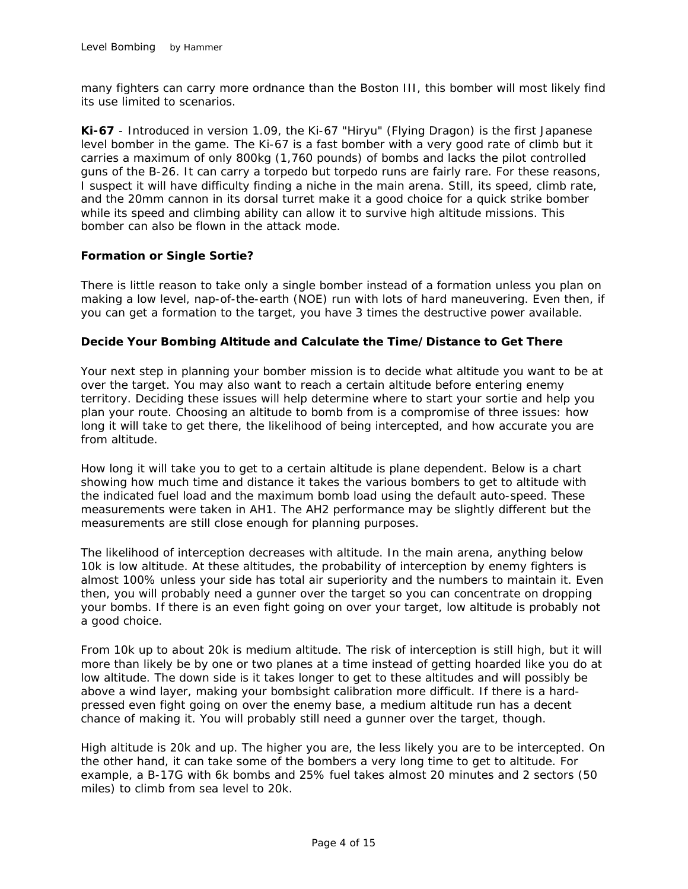many fighters can carry more ordnance than the Boston III, this bomber will most likely find its use limited to scenarios.

**Ki-67** - Introduced in version 1.09, the Ki-67 "Hiryu" (Flying Dragon) is the first Japanese level bomber in the game. The Ki-67 is a fast bomber with a very good rate of climb but it carries a maximum of only 800kg (1,760 pounds) of bombs and lacks the pilot controlled guns of the B-26. It can carry a torpedo but torpedo runs are fairly rare. For these reasons, I suspect it will have difficulty finding a niche in the main arena. Still, its speed, climb rate, and the 20mm cannon in its dorsal turret make it a good choice for a quick strike bomber while its speed and climbing ability can allow it to survive high altitude missions. This bomber can also be flown in the attack mode.

## **Formation or Single Sortie?**

There is little reason to take only a single bomber instead of a formation unless you plan on making a low level, nap-of-the-earth (NOE) run with lots of hard maneuvering. Even then, if you can get a formation to the target, you have 3 times the destructive power available.

#### **Decide Your Bombing Altitude and Calculate the Time/Distance to Get There**

Your next step in planning your bomber mission is to decide what altitude you want to be at over the target. You may also want to reach a certain altitude before entering enemy territory. Deciding these issues will help determine where to start your sortie and help you plan your route. Choosing an altitude to bomb from is a compromise of three issues: how long it will take to get there, the likelihood of being intercepted, and how accurate you are from altitude.

How long it will take you to get to a certain altitude is plane dependent. Below is a chart showing how much time and distance it takes the various bombers to get to altitude with the indicated fuel load and the maximum bomb load using the default auto-speed. These measurements were taken in AH1. The AH2 performance may be slightly different but the measurements are still close enough for planning purposes.

The likelihood of interception decreases with altitude. In the main arena, anything below 10k is low altitude. At these altitudes, the probability of interception by enemy fighters is almost 100% unless your side has total air superiority and the numbers to maintain it. Even then, you will probably need a gunner over the target so you can concentrate on dropping your bombs. If there is an even fight going on over your target, low altitude is probably not a good choice.

From 10k up to about 20k is medium altitude. The risk of interception is still high, but it will more than likely be by one or two planes at a time instead of getting hoarded like you do at low altitude. The down side is it takes longer to get to these altitudes and will possibly be above a wind layer, making your bombsight calibration more difficult. If there is a hardpressed even fight going on over the enemy base, a medium altitude run has a decent chance of making it. You will probably still need a gunner over the target, though.

High altitude is 20k and up. The higher you are, the less likely you are to be intercepted. On the other hand, it can take some of the bombers a very long time to get to altitude. For example, a B-17G with 6k bombs and 25% fuel takes almost 20 minutes and 2 sectors (50 miles) to climb from sea level to 20k.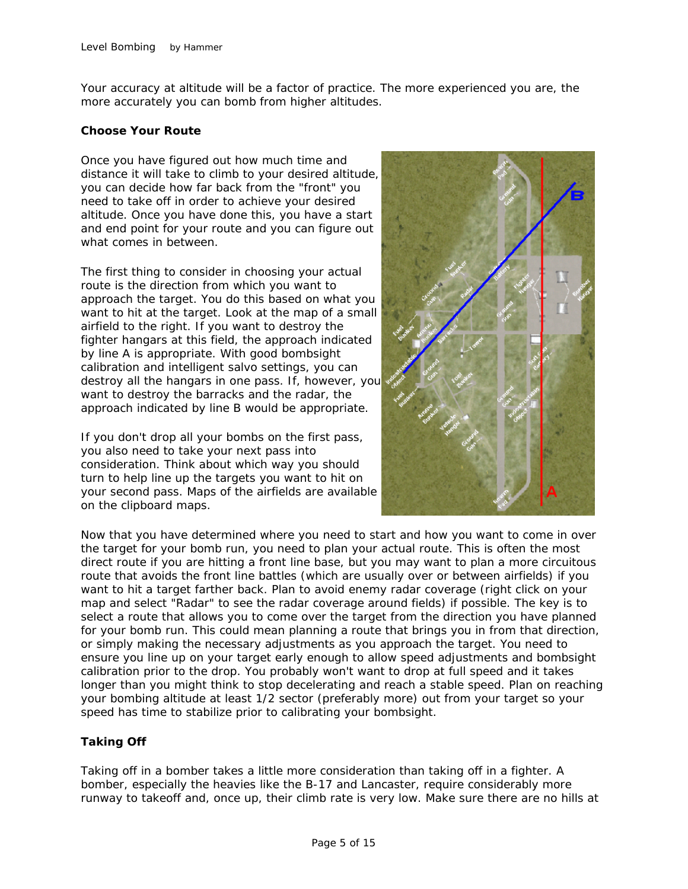Your accuracy at altitude will be a factor of practice. The more experienced you are, the more accurately you can bomb from higher altitudes.

## **Choose Your Route**

Once you have figured out how much time and distance it will take to climb to your desired altitude, you can decide how far back from the "front" you need to take off in order to achieve your desired altitude. Once you have done this, you have a start and end point for your route and you can figure out what comes in between.

The first thing to consider in choosing your actual route is the direction from which you want to approach the target. You do this based on what you want to hit at the target. Look at the map of a small airfield to the right. If you want to destroy the fighter hangars at this field, the approach indicated by line A is appropriate. With good bombsight calibration and intelligent salvo settings, you can destroy all the hangars in one pass. If, however, you want to destroy the barracks and the radar, the approach indicated by line B would be appropriate.

If you don't drop all your bombs on the first pass, you also need to take your next pass into consideration. Think about which way you should turn to help line up the targets you want to hit on your second pass. Maps of the airfields are available on the clipboard maps.



Now that you have determined where you need to start and how you want to come in over the target for your bomb run, you need to plan your actual route. This is often the most direct route if you are hitting a front line base, but you may want to plan a more circuitous route that avoids the front line battles (which are usually over or between airfields) if you want to hit a target farther back. Plan to avoid enemy radar coverage (right click on your map and select "Radar" to see the radar coverage around fields) if possible. The key is to select a route that allows you to come over the target from the direction you have planned for your bomb run. This could mean planning a route that brings you in from that direction, or simply making the necessary adjustments as you approach the target. You need to ensure you line up on your target early enough to allow speed adjustments and bombsight calibration prior to the drop. You probably won't want to drop at full speed and it takes longer than you might think to stop decelerating and reach a stable speed. Plan on reaching your bombing altitude at least 1/2 sector (preferably more) out from your target so your speed has time to stabilize prior to calibrating your bombsight.

# **Taking Off**

Taking off in a bomber takes a little more consideration than taking off in a fighter. A bomber, especially the heavies like the B-17 and Lancaster, require considerably more runway to takeoff and, once up, their climb rate is very low. Make sure there are no hills at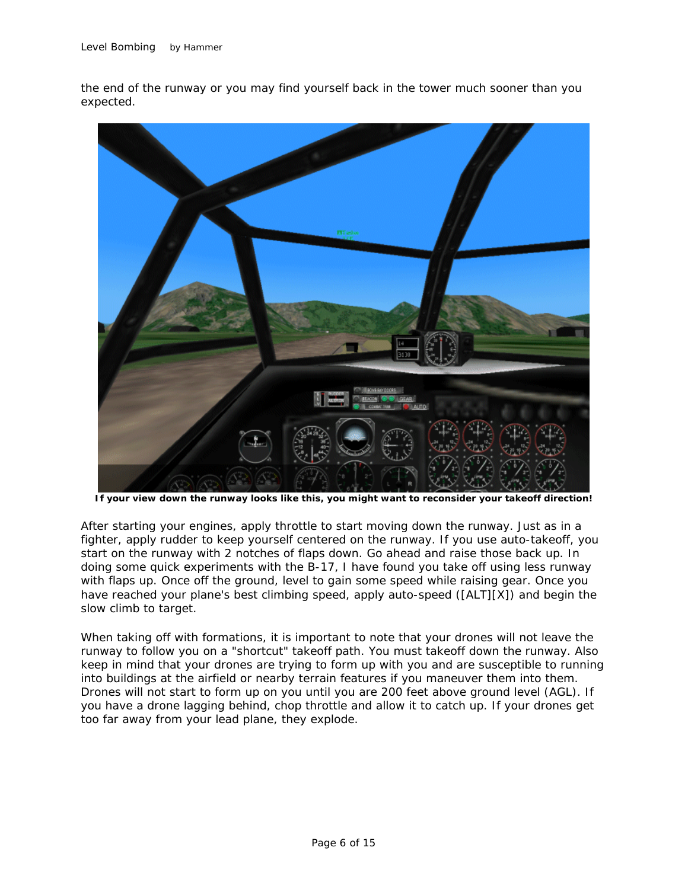the end of the runway or you may find yourself back in the tower much sooner than you expected.



**If your view down the runway looks like this, you might want to reconsider your takeoff direction!**

After starting your engines, apply throttle to start moving down the runway. Just as in a fighter, apply rudder to keep yourself centered on the runway. If you use auto-takeoff, you start on the runway with 2 notches of flaps down. Go ahead and raise those back up. In doing some quick experiments with the B-17, I have found you take off using less runway with flaps up. Once off the ground, level to gain some speed while raising gear. Once you have reached your plane's best climbing speed, apply auto-speed ([ALT][X]) and begin the slow climb to target.

When taking off with formations, it is important to note that your drones will not leave the runway to follow you on a "shortcut" takeoff path. You must takeoff down the runway. Also keep in mind that your drones are trying to form up with you and are susceptible to running into buildings at the airfield or nearby terrain features if you maneuver them into them. Drones will not start to form up on you until you are 200 feet above ground level (AGL). If you have a drone lagging behind, chop throttle and allow it to catch up. If your drones get too far away from your lead plane, they explode.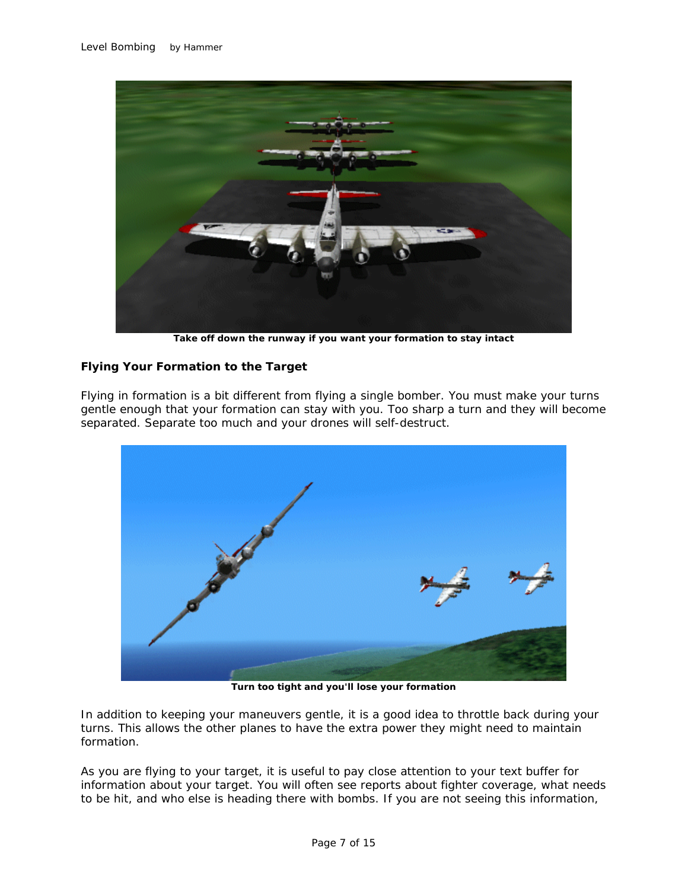

**Take off down the runway if you want your formation to stay intact**

# **Flying Your Formation to the Target**

Flying in formation is a bit different from flying a single bomber. You must make your turns gentle enough that your formation can stay with you. Too sharp a turn and they will become separated. Separate too much and your drones will self-destruct.



**Turn too tight and you'll lose your formation**

In addition to keeping your maneuvers gentle, it is a good idea to throttle back during your turns. This allows the other planes to have the extra power they might need to maintain formation.

As you are flying to your target, it is useful to pay close attention to your text buffer for information about your target. You will often see reports about fighter coverage, what needs to be hit, and who else is heading there with bombs. If you are not seeing this information,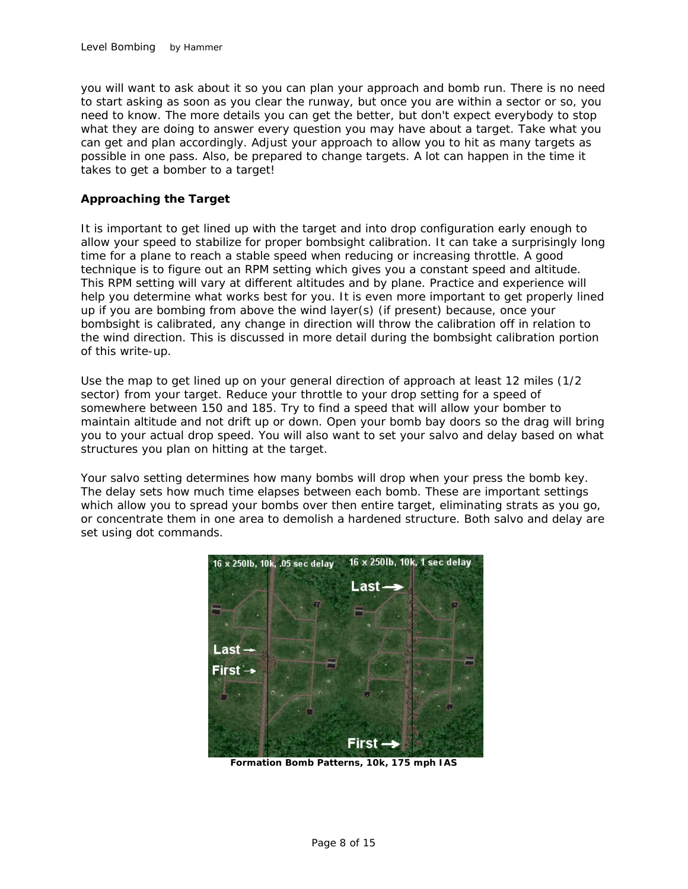you will want to ask about it so you can plan your approach and bomb run. There is no need to start asking as soon as you clear the runway, but once you are within a sector or so, you need to know. The more details you can get the better, but don't expect everybody to stop what they are doing to answer every question you may have about a target. Take what you can get and plan accordingly. Adjust your approach to allow you to hit as many targets as possible in one pass. Also, be prepared to change targets. A lot can happen in the time it takes to get a bomber to a target!

## **Approaching the Target**

It is important to get lined up with the target and into drop configuration early enough to allow your speed to stabilize for proper bombsight calibration. It can take a surprisingly long time for a plane to reach a stable speed when reducing or increasing throttle. A good technique is to figure out an RPM setting which gives you a constant speed and altitude. This RPM setting will vary at different altitudes and by plane. Practice and experience will help you determine what works best for you. It is even more important to get properly lined up if you are bombing from above the wind layer(s) (if present) because, once your bombsight is calibrated, any change in direction will throw the calibration off in relation to the wind direction. This is discussed in more detail during the bombsight calibration portion of this write-up.

Use the map to get lined up on your general direction of approach at least 12 miles (1/2 sector) from your target. Reduce your throttle to your drop setting for a speed of somewhere between 150 and 185. Try to find a speed that will allow your bomber to maintain altitude and not drift up or down. Open your bomb bay doors so the drag will bring you to your actual drop speed. You will also want to set your salvo and delay based on what structures you plan on hitting at the target.

Your salvo setting determines how many bombs will drop when your press the bomb key. The delay sets how much time elapses between each bomb. These are important settings which allow you to spread your bombs over then entire target, eliminating strats as you go, or concentrate them in one area to demolish a hardened structure. Both salvo and delay are set using dot commands.



**Formation Bomb Patterns, 10k, 175 mph IAS**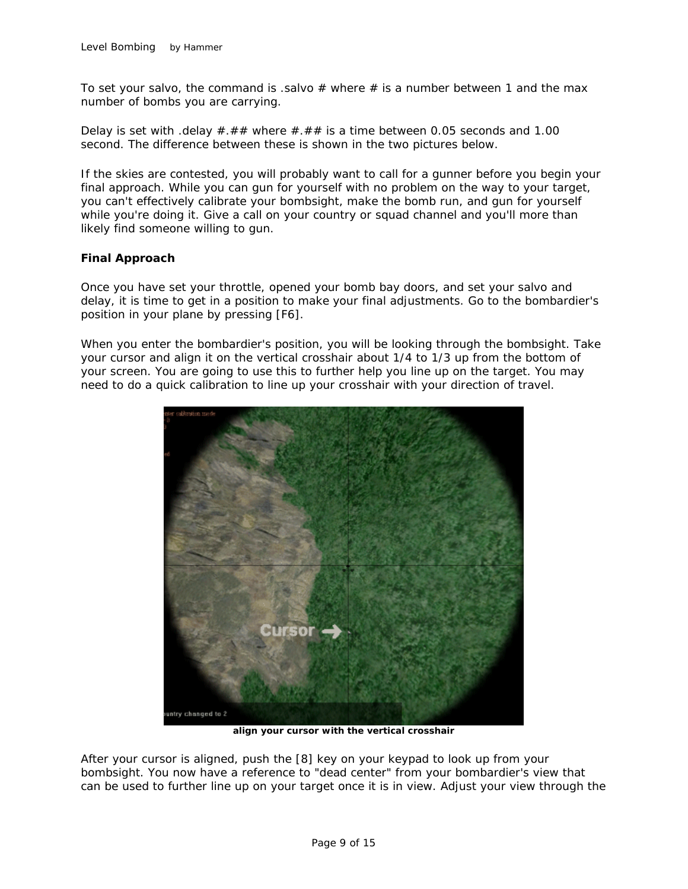To set your salvo, the command is .salvo  $#$  where  $#$  is a number between 1 and the max number of bombs you are carrying.

Delay is set with .delay  $\#.\# \#$  where  $\#.\# \#$  is a time between 0.05 seconds and 1.00 second. The difference between these is shown in the two pictures below.

If the skies are contested, you will probably want to call for a gunner before you begin your final approach. While you can gun for yourself with no problem on the way to your target, you can't effectively calibrate your bombsight, make the bomb run, and gun for yourself while you're doing it. Give a call on your country or squad channel and you'll more than likely find someone willing to gun.

## **Final Approach**

Once you have set your throttle, opened your bomb bay doors, and set your salvo and delay, it is time to get in a position to make your final adjustments. Go to the bombardier's position in your plane by pressing [F6].

When you enter the bombardier's position, you will be looking through the bombsight. Take your cursor and align it on the vertical crosshair about 1/4 to 1/3 up from the bottom of your screen. You are going to use this to further help you line up on the target. You may need to do a quick calibration to line up your crosshair with your direction of travel.



**align your cursor with the vertical crosshair**

After your cursor is aligned, push the [8] key on your keypad to look up from your bombsight. You now have a reference to "dead center" from your bombardier's view that can be used to further line up on your target once it is in view. Adjust your view through the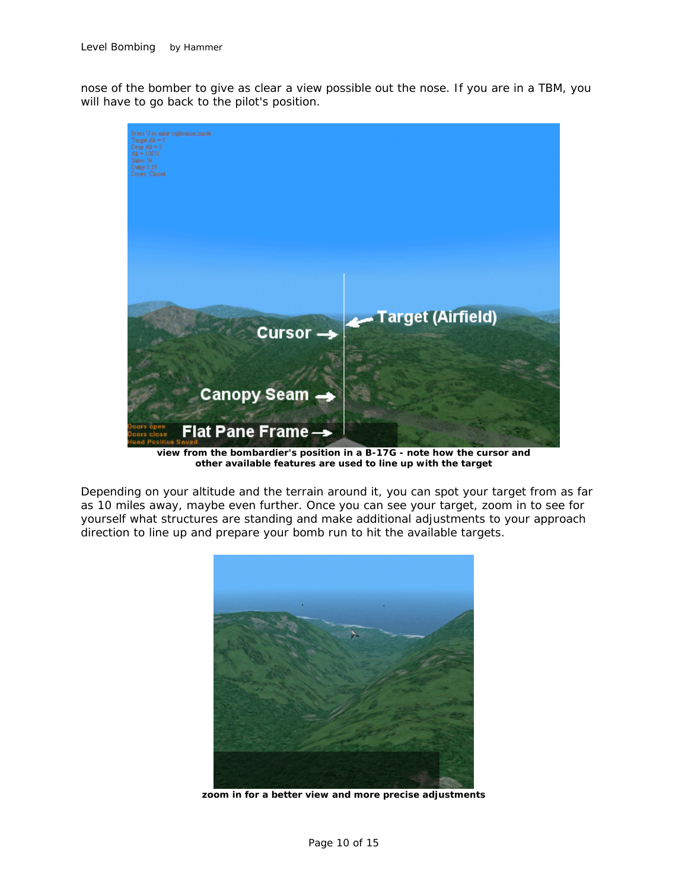nose of the bomber to give as clear a view possible out the nose. If you are in a TBM, you will have to go back to the pilot's position.



**view from the bombardier's position in a B-17G - note how the cursor and other available features are used to line up with the target** 

Depending on your altitude and the terrain around it, you can spot your target from as far as 10 miles away, maybe even further. Once you can see your target, zoom in to see for yourself what structures are standing and make additional adjustments to your approach direction to line up and prepare your bomb run to hit the available targets.



**zoom in for a better view and more precise adjustments**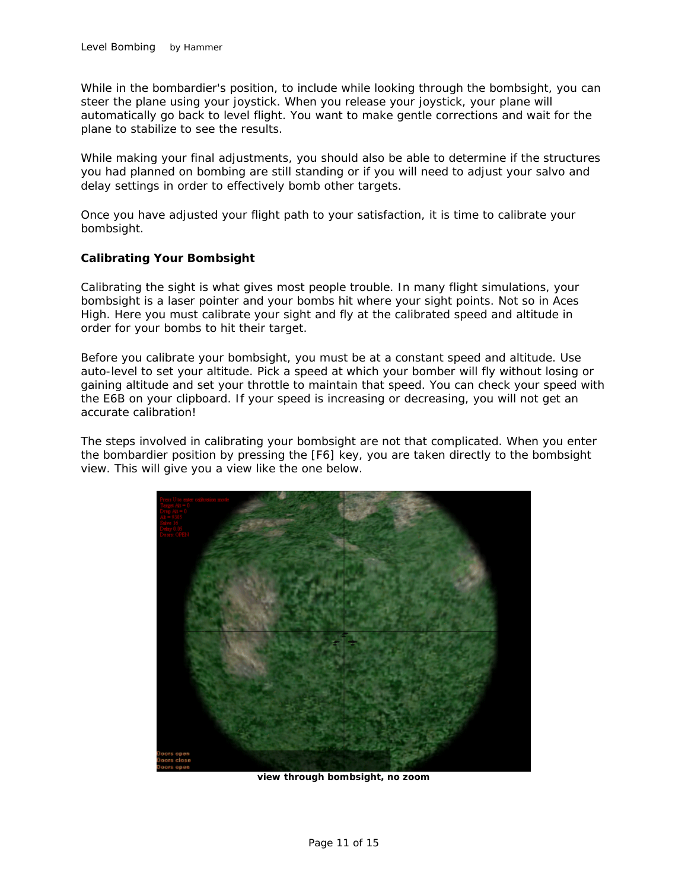While in the bombardier's position, to include while looking through the bombsight, you can steer the plane using your joystick. When you release your joystick, your plane will automatically go back to level flight. You want to make gentle corrections and wait for the plane to stabilize to see the results.

While making your final adjustments, you should also be able to determine if the structures you had planned on bombing are still standing or if you will need to adjust your salvo and delay settings in order to effectively bomb other targets.

Once you have adjusted your flight path to your satisfaction, it is time to calibrate your bombsight.

## **Calibrating Your Bombsight**

Calibrating the sight is what gives most people trouble. In many flight simulations, your bombsight is a laser pointer and your bombs hit where your sight points. Not so in Aces High. Here you must calibrate your sight and fly at the calibrated speed and altitude in order for your bombs to hit their target.

Before you calibrate your bombsight, you must be at a constant speed and altitude. Use auto-level to set your altitude. Pick a speed at which your bomber will fly without losing or gaining altitude and set your throttle to maintain that speed. You can check your speed with the E6B on your clipboard. If your speed is increasing or decreasing, you will not get an accurate calibration!

The steps involved in calibrating your bombsight are not that complicated. When you enter the bombardier position by pressing the [F6] key, you are taken directly to the bombsight view. This will give you a view like the one below.



**view through bombsight, no zoom**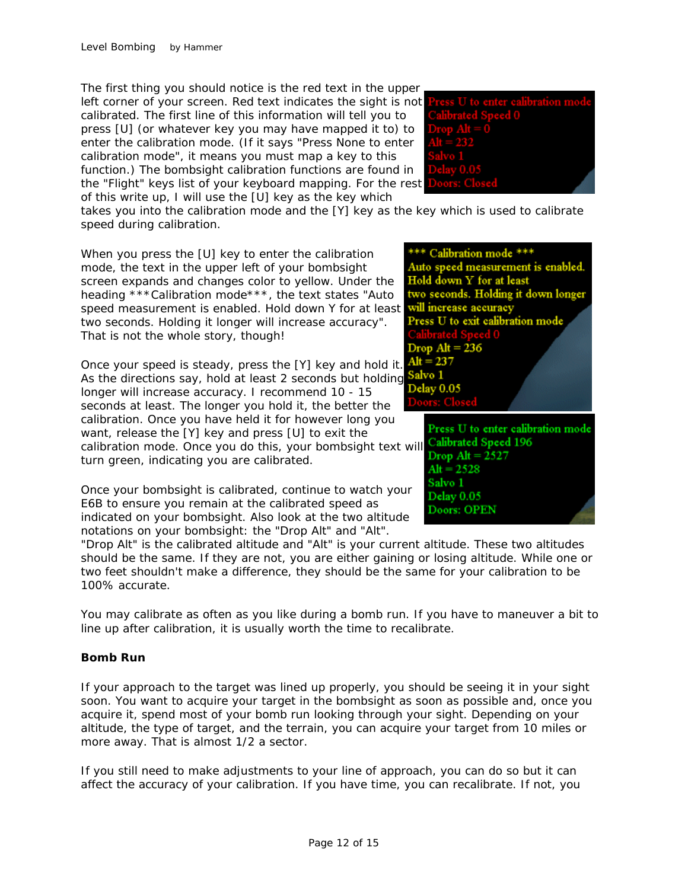The first thing you should notice is the red text in the upper left corner of your screen. Red text indicates the sight is not calibrated. The first line of this information will tell you to press [U] (or whatever key you may have mapped it to) to enter the calibration mode. (If it says "Press None to enter calibration mode", it means you must map a key to this function.) The bombsight calibration functions are found in the "Flight" keys list of your keyboard mapping. For the rest of this write up, I will use the [U] key as the key which



takes you into the calibration mode and the [Y] key as the key which is used to calibrate speed during calibration.

When you press the [U] key to enter the calibration mode, the text in the upper left of your bombsight screen expands and changes color to yellow. Under the heading \*\*\*Calibration mode\*\*\*, the text states "Auto speed measurement is enabled. Hold down Y for at least two seconds. Holding it longer will increase accuracy". That is not the whole story, though!

Once your speed is steady, press the [Y] key and hold it.  $Alt = 237$ <br>As the directions say, hold at least 2 seconds but holding Salve 1 As the directions say, hold at least 2 seconds but holding **Salvo I**<br>longer will increase accuracy. Lrecommond 10 15 longer will increase accuracy. I recommend 10 - 15 seconds at least. The longer you hold it, the better the calibration. Once you have held it for however long you want, release the [Y] key and press [U] to exit the calibration mode. Once you do this, your bombsight text will **Calibrated Speed 196**<br>turn groop, indicating you are calibrated turn green, indicating you are calibrated.

Once your bombsight is calibrated, continue to watch your E6B to ensure you remain at the calibrated speed as indicated on your bombsight. Also look at the two altitude notations on your bombsight: the "Drop Alt" and "Alt".

"Drop Alt" is the calibrated altitude and "Alt" is your current altitude. These two altitudes should be the same. If they are not, you are either gaining or losing altitude. While one or two feet shouldn't make a difference, they should be the same for your calibration to be 100% accurate.

You may calibrate as often as you like during a bomb run. If you have to maneuver a bit to line up after calibration, it is usually worth the time to recalibrate.

## **Bomb Run**

If your approach to the target was lined up properly, you should be seeing it in your sight soon. You want to acquire your target in the bombsight as soon as possible and, once you acquire it, spend most of your bomb run looking through your sight. Depending on your altitude, the type of target, and the terrain, you can acquire your target from 10 miles or more away. That is almost 1/2 a sector.

If you still need to make adjustments to your line of approach, you can do so but it can affect the accuracy of your calibration. If you have time, you can recalibrate. If not, you



Press U to enter calibration mode  $Alt = 2528$ Salvo 1 Delay 0.05 Doors: OPEN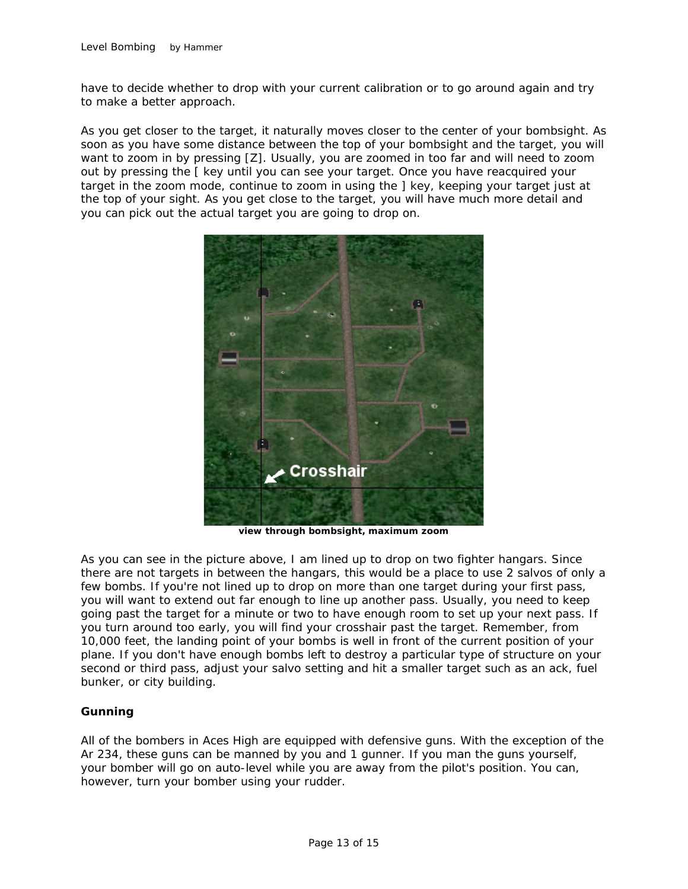have to decide whether to drop with your current calibration or to go around again and try to make a better approach.

As you get closer to the target, it naturally moves closer to the center of your bombsight. As soon as you have some distance between the top of your bombsight and the target, you will want to zoom in by pressing [Z]. Usually, you are zoomed in too far and will need to zoom out by pressing the [ key until you can see your target. Once you have reacquired your target in the zoom mode, continue to zoom in using the ] key, keeping your target just at the top of your sight. As you get close to the target, you will have much more detail and you can pick out the actual target you are going to drop on.



**view through bombsight, maximum zoom**

As you can see in the picture above, I am lined up to drop on two fighter hangars. Since there are not targets in between the hangars, this would be a place to use 2 salvos of only a few bombs. If you're not lined up to drop on more than one target during your first pass, you will want to extend out far enough to line up another pass. Usually, you need to keep going past the target for a minute or two to have enough room to set up your next pass. If you turn around too early, you will find your crosshair past the target. Remember, from 10,000 feet, the landing point of your bombs is well in front of the current position of your plane. If you don't have enough bombs left to destroy a particular type of structure on your second or third pass, adjust your salvo setting and hit a smaller target such as an ack, fuel bunker, or city building.

## **Gunning**

All of the bombers in Aces High are equipped with defensive guns. With the exception of the Ar 234, these guns can be manned by you and 1 gunner. If you man the guns yourself, your bomber will go on auto-level while you are away from the pilot's position. You can, however, turn your bomber using your rudder.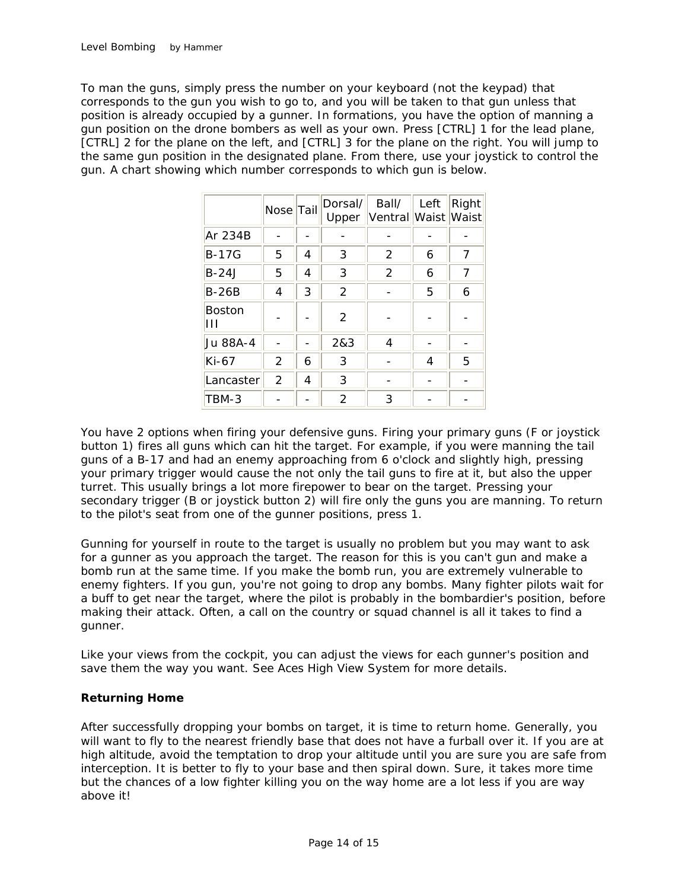To man the guns, simply press the number on your keyboard (not the keypad) that corresponds to the gun you wish to go to, and you will be taken to that gun unless that position is already occupied by a gunner. In formations, you have the option of manning a gun position on the drone bombers as well as your own. Press [CTRL] 1 for the lead plane, [CTRL] 2 for the plane on the left, and [CTRL] 3 for the plane on the right. You will jump to the same gun position in the designated plane. From there, use your joystick to control the gun. A chart showing which number corresponds to which gun is below.

|                    | Nose Tail |   | Dorsal/<br>Upper | Ball/<br>Ventral Waist | Left | Right<br>Waist |
|--------------------|-----------|---|------------------|------------------------|------|----------------|
| Ar 234B            |           |   |                  |                        |      |                |
| <b>B-17G</b>       | 5         | 4 | 3                | 2                      | 6    |                |
| $B-24J$            | 5         | 4 | 3                | 2                      | 6    | 7              |
| $B-26B$            | 4         | 3 | 2                |                        | 5    | 6              |
| <b>Boston</b><br>Ш |           |   | 2                |                        |      |                |
| Ju 88A-4           |           |   | 2&3              | 4                      |      |                |
| $Ki-67$            | 2         | 6 | 3                |                        | 4    | 5              |
| Lancaster          | 2         | 4 | 3                |                        |      |                |
| TBM-3              |           |   | 2                | 3                      |      |                |

You have 2 options when firing your defensive guns. Firing your primary guns (F or joystick button 1) fires all guns which can hit the target. For example, if you were manning the tail guns of a B-17 and had an enemy approaching from 6 o'clock and slightly high, pressing your primary trigger would cause the not only the tail guns to fire at it, but also the upper turret. This usually brings a lot more firepower to bear on the target. Pressing your secondary trigger (B or joystick button 2) will fire only the guns you are manning. To return to the pilot's seat from one of the gunner positions, press 1.

Gunning for yourself in route to the target is usually no problem but you may want to ask for a gunner as you approach the target. The reason for this is you can't gun and make a bomb run at the same time. If you make the bomb run, you are extremely vulnerable to enemy fighters. If you gun, you're not going to drop any bombs. Many fighter pilots wait for a buff to get near the target, where the pilot is probably in the bombardier's position, before making their attack. Often, a call on the country or squad channel is all it takes to find a gunner.

Like your views from the cockpit, you can adjust the views for each gunner's position and save them the way you want. See Aces High View System for more details.

## **Returning Home**

After successfully dropping your bombs on target, it is time to return home. Generally, you will want to fly to the nearest friendly base that does not have a furball over it. If you are at high altitude, avoid the temptation to drop your altitude until you are sure you are safe from interception. It is better to fly to your base and then spiral down. Sure, it takes more time but the chances of a low fighter killing you on the way home are a lot less if you are way above it!